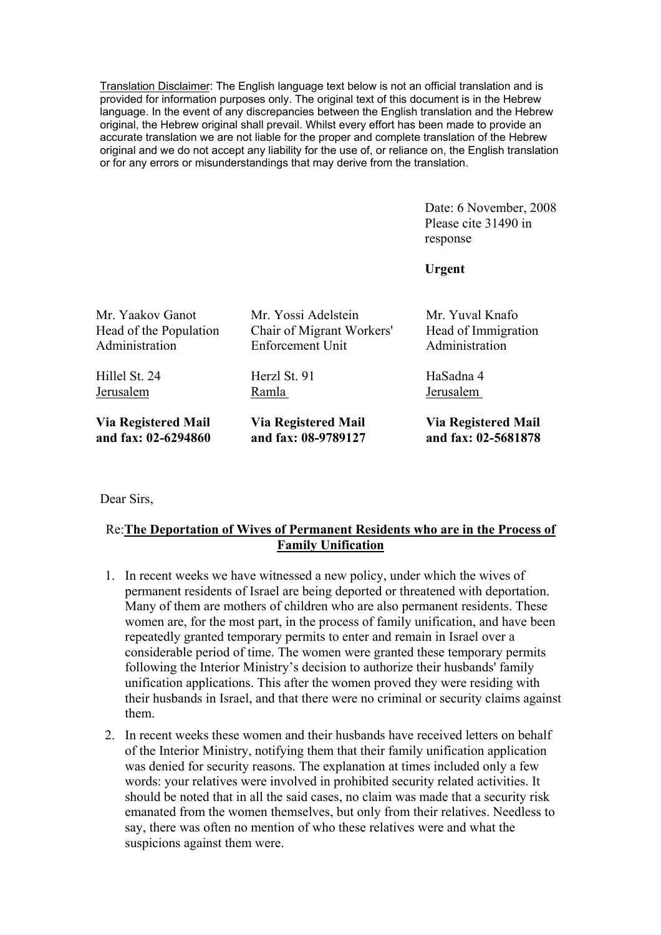Translation Disclaimer: The English language text below is not an official translation and is provided for information purposes only. The original text of this document is in the Hebrew language. In the event of any discrepancies between the English translation and the Hebrew original, the Hebrew original shall prevail. Whilst every effort has been made to provide an accurate translation we are not liable for the proper and complete translation of the Hebrew original and we do not accept any liability for the use of, or reliance on, the English translation or for any errors or misunderstandings that may derive from the translation.

> Date: 6 November, 2008 Please cite 31490 in response

**Urgent**

| <b>Via Registered Mail</b>                                           | <b>Via Registered Mail</b><br>and fax: 02-5681878        |
|----------------------------------------------------------------------|----------------------------------------------------------|
|                                                                      | HaSadna 4<br>Jerusalem                                   |
| Mr. Yossi Adelstein<br>Chair of Migrant Workers'<br>Enforcement Unit | Mr. Yuval Knafo<br>Head of Immigration<br>Administration |
|                                                                      | Herzl St. 91<br>Ramla<br>and fax: 08-9789127             |

Dear Sirs,

## Re:**The Deportation of Wives of Permanent Residents who are in the Process of Family Unification**

- 1. In recent weeks we have witnessed a new policy, under which the wives of permanent residents of Israel are being deported or threatened with deportation. Many of them are mothers of children who are also permanent residents. These women are, for the most part, in the process of family unification, and have been repeatedly granted temporary permits to enter and remain in Israel over a considerable period of time. The women were granted these temporary permits following the Interior Ministry's decision to authorize their husbands' family unification applications. This after the women proved they were residing with their husbands in Israel, and that there were no criminal or security claims against them.
- 2. In recent weeks these women and their husbands have received letters on behalf of the Interior Ministry, notifying them that their family unification application was denied for security reasons. The explanation at times included only a few words: your relatives were involved in prohibited security related activities. It should be noted that in all the said cases, no claim was made that a security risk emanated from the women themselves, but only from their relatives. Needless to say, there was often no mention of who these relatives were and what the suspicions against them were.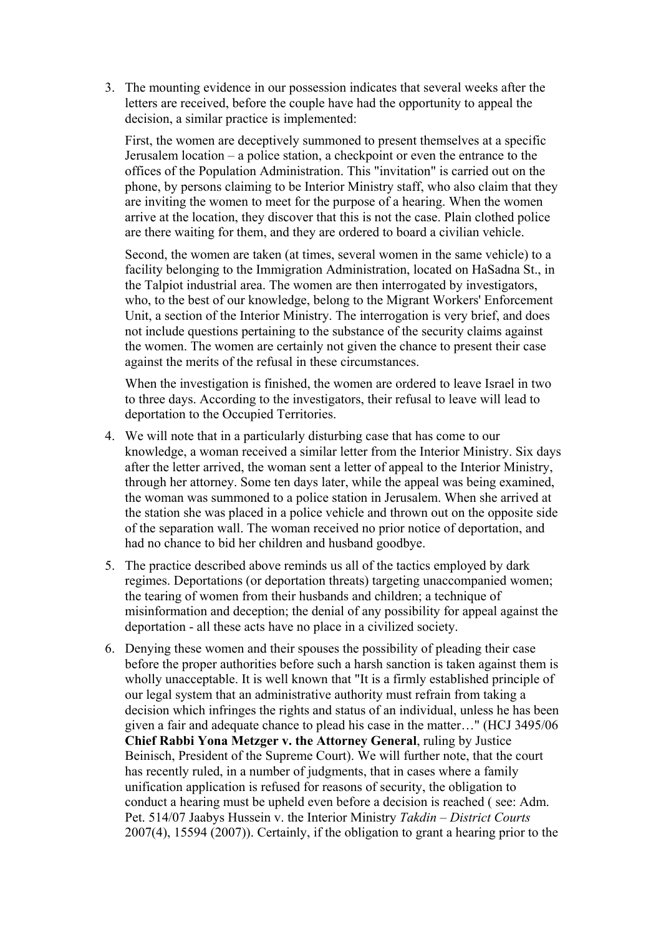3. The mounting evidence in our possession indicates that several weeks after the letters are received, before the couple have had the opportunity to appeal the decision, a similar practice is implemented:

First, the women are deceptively summoned to present themselves at a specific Jerusalem location – a police station, a checkpoint or even the entrance to the offices of the Population Administration. This "invitation" is carried out on the phone, by persons claiming to be Interior Ministry staff, who also claim that they are inviting the women to meet for the purpose of a hearing. When the women arrive at the location, they discover that this is not the case. Plain clothed police are there waiting for them, and they are ordered to board a civilian vehicle.

Second, the women are taken (at times, several women in the same vehicle) to a facility belonging to the Immigration Administration, located on HaSadna St., in the Talpiot industrial area. The women are then interrogated by investigators, who, to the best of our knowledge, belong to the Migrant Workers' Enforcement Unit, a section of the Interior Ministry. The interrogation is very brief, and does not include questions pertaining to the substance of the security claims against the women. The women are certainly not given the chance to present their case against the merits of the refusal in these circumstances.

When the investigation is finished, the women are ordered to leave Israel in two to three days. According to the investigators, their refusal to leave will lead to deportation to the Occupied Territories.

- 4. We will note that in a particularly disturbing case that has come to our knowledge, a woman received a similar letter from the Interior Ministry. Six days after the letter arrived, the woman sent a letter of appeal to the Interior Ministry, through her attorney. Some ten days later, while the appeal was being examined, the woman was summoned to a police station in Jerusalem. When she arrived at the station she was placed in a police vehicle and thrown out on the opposite side of the separation wall. The woman received no prior notice of deportation, and had no chance to bid her children and husband goodbye.
- 5. The practice described above reminds us all of the tactics employed by dark regimes. Deportations (or deportation threats) targeting unaccompanied women; the tearing of women from their husbands and children; a technique of misinformation and deception; the denial of any possibility for appeal against the deportation - all these acts have no place in a civilized society.
- 6. Denying these women and their spouses the possibility of pleading their case before the proper authorities before such a harsh sanction is taken against them is wholly unacceptable. It is well known that "It is a firmly established principle of our legal system that an administrative authority must refrain from taking a decision which infringes the rights and status of an individual, unless he has been given a fair and adequate chance to plead his case in the matter…" (HCJ 3495/06 **Chief Rabbi Yona Metzger v. the Attorney General**, ruling by Justice Beinisch, President of the Supreme Court). We will further note, that the court has recently ruled, in a number of judgments, that in cases where a family unification application is refused for reasons of security, the obligation to conduct a hearing must be upheld even before a decision is reached ( see: Adm. Pet. 514/07 Jaabys Hussein v. the Interior Ministry *Takdin – District Courts*  2007(4), 15594 (2007)). Certainly, if the obligation to grant a hearing prior to the